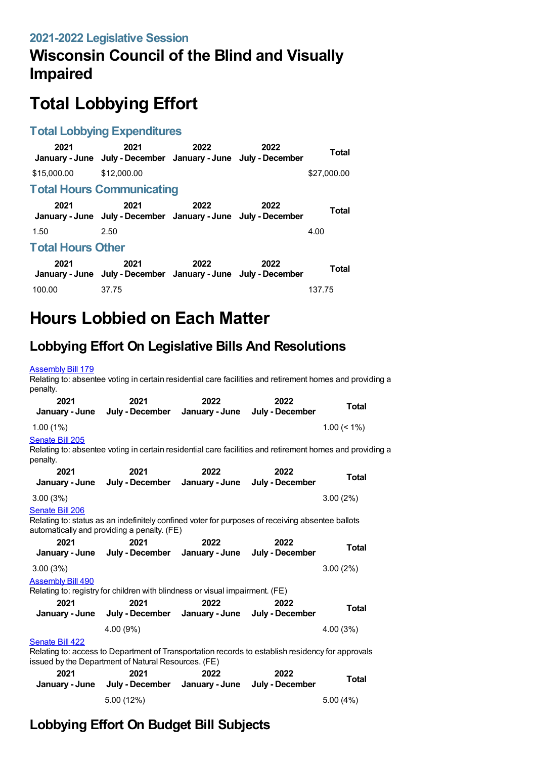#### **2021-2022 Legislative Session**

## **Wisconsin Council of the Blind and Visually Impaired**

# **Total Lobbying Effort**

#### **Total Lobbying Expenditures**

| 2021                     | 2021<br>January - June July - December January - June July - December | 2022 | 2022 | Total        |  |  |
|--------------------------|-----------------------------------------------------------------------|------|------|--------------|--|--|
| \$15,000.00              | \$12,000.00                                                           |      |      | \$27,000.00  |  |  |
|                          | <b>Total Hours Communicating</b>                                      |      |      |              |  |  |
| 2021                     | 2021<br>January - June July - December January - June July - December | 2022 | 2022 | Total        |  |  |
| 1.50                     | 2.50                                                                  |      |      | 4.00         |  |  |
| <b>Total Hours Other</b> |                                                                       |      |      |              |  |  |
| 2021                     | 2021<br>January - June July - December January - June July - December | 2022 | 2022 | <b>Total</b> |  |  |
| 100.00                   | 37.75                                                                 |      |      | 137.75       |  |  |

# **Hours Lobbied on Each Matter**

### **Lobbying Effort On Legislative Bills And Resolutions**

#### [Assembly](https://lobbying.wi.gov/What/BillInformation/2021REG/Information/18705?tab=Efforts) Bill 179

Relating to: absentee voting in certain residential care facilities and retirement homes and providing a penalty.

| 2021<br>January - June      | 2021<br>July - December January - June                                                                                                                  | 2022           | 2022<br>July - December | <b>Total</b>   |
|-----------------------------|---------------------------------------------------------------------------------------------------------------------------------------------------------|----------------|-------------------------|----------------|
| 1.00(1%)                    |                                                                                                                                                         |                |                         | $1.00 \le 1\%$ |
| Senate Bill 205<br>penalty. | Relating to: absentee voting in certain residential care facilities and retirement homes and providing a                                                |                |                         |                |
| 2021                        | 2021                                                                                                                                                    | 2022           | 2022                    |                |
| January - June              | July - December                                                                                                                                         | January - June | July - December         | <b>Total</b>   |
| 3.00(3%)                    |                                                                                                                                                         |                |                         | 3.00(2%)       |
| Senate Bill 206             |                                                                                                                                                         |                |                         |                |
|                             | Relating to: status as an indefinitely confined voter for purposes of receiving absentee ballots<br>automatically and providing a penalty. (FE)         |                |                         |                |
| 2021                        | 2021                                                                                                                                                    | 2022           | 2022                    |                |
| January - June              | July - December                                                                                                                                         | January - June | July - December         | <b>Total</b>   |
| 3.00(3%)                    |                                                                                                                                                         |                |                         | 3.00(2%)       |
| <b>Assembly Bill 490</b>    |                                                                                                                                                         |                |                         |                |
|                             | Relating to: registry for children with blindness or visual impairment. (FE)                                                                            |                |                         |                |
| 2021                        | 2021                                                                                                                                                    | 2022           | 2022                    | Total          |
| January - June              | July - December January - June                                                                                                                          |                | July - December         |                |
|                             | 4.00 (9%)                                                                                                                                               |                |                         | 4.00 (3%)      |
| Senate Bill 422             |                                                                                                                                                         |                |                         |                |
|                             | Relating to: access to Department of Transportation records to establish residency for approvals<br>issued by the Department of Natural Resources. (FE) |                |                         |                |
| 2021                        | 2021                                                                                                                                                    | 2022           | 2022                    |                |
| January - June              | July - December                                                                                                                                         | January - June | July - December         | <b>Total</b>   |
|                             | 5.00 (12%)                                                                                                                                              |                |                         | 5.00(4%)       |

## **Lobbying Effort On Budget Bill Subjects**